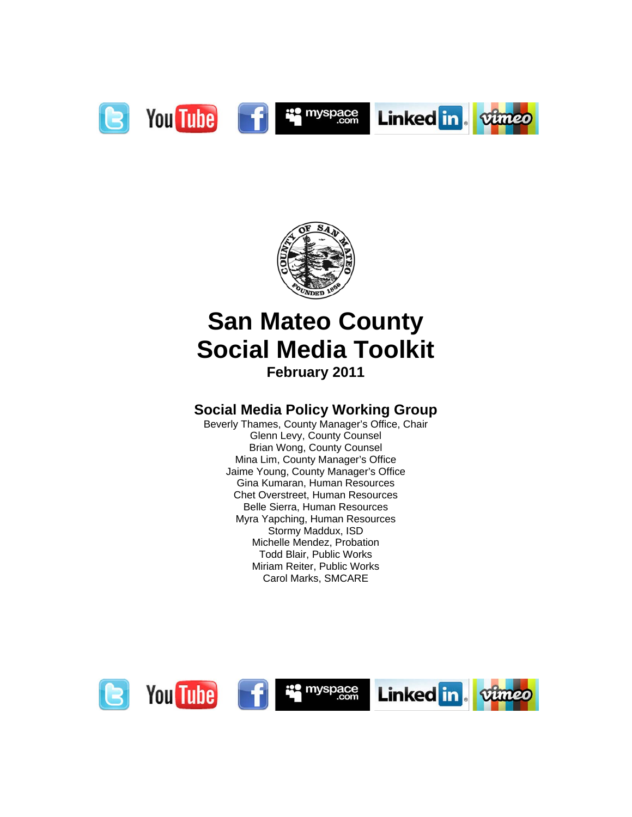



## **San Mateo County Social Media Toolkit February 2011**

### **Social Media Policy Working Group**

Beverly Thames, County Manager's Office, Chair Glenn Levy, County Counsel Brian Wong, County Counsel Mina Lim, County Manager's Office Jaime Young, County Manager's Office Gina Kumaran, Human Resources Chet Overstreet, Human Resources Belle Sierra, Human Resources Myra Yapching, Human Resources Stormy Maddux, ISD Michelle Mendez, Probation Todd Blair, Public Works Miriam Reiter, Public Works Carol Marks, SMCARE

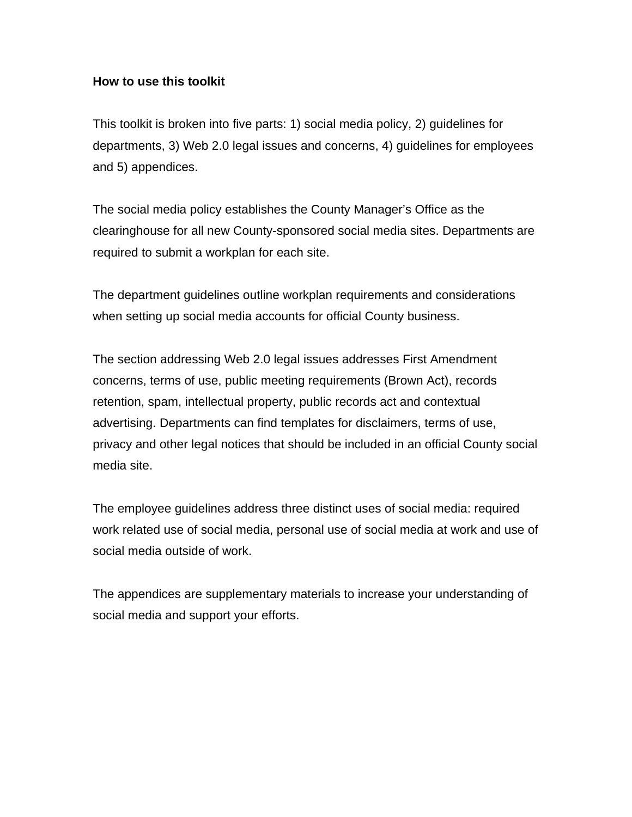### **How to use this toolkit**

This toolkit is broken into five parts: 1) social media policy, 2) guidelines for departments, 3) Web 2.0 legal issues and concerns, 4) guidelines for employees and 5) appendices.

The social media policy establishes the County Manager's Office as the clearinghouse for all new County-sponsored social media sites. Departments are required to submit a workplan for each site.

The department guidelines outline workplan requirements and considerations when setting up social media accounts for official County business.

The section addressing Web 2.0 legal issues addresses First Amendment concerns, terms of use, public meeting requirements (Brown Act), records retention, spam, intellectual property, public records act and contextual advertising. Departments can find templates for disclaimers, terms of use, privacy and other legal notices that should be included in an official County social media site.

The employee guidelines address three distinct uses of social media: required work related use of social media, personal use of social media at work and use of social media outside of work.

The appendices are supplementary materials to increase your understanding of social media and support your efforts.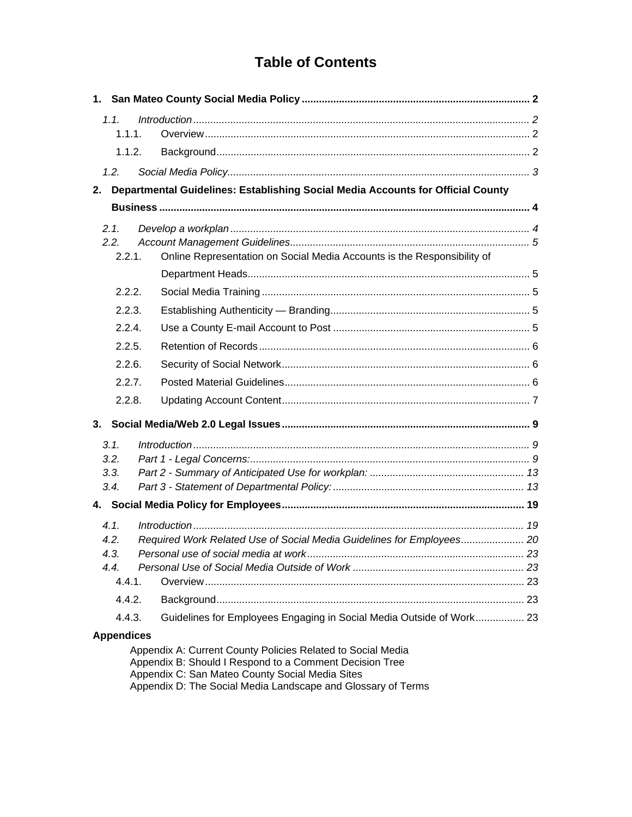### **Table of Contents**

| 1.1.<br>1.1.1.                         |  |                                                                                                                        |  |  |  |  |  |
|----------------------------------------|--|------------------------------------------------------------------------------------------------------------------------|--|--|--|--|--|
| 1.1.2.                                 |  |                                                                                                                        |  |  |  |  |  |
| 1.2.                                   |  |                                                                                                                        |  |  |  |  |  |
| 2.                                     |  | Departmental Guidelines: Establishing Social Media Accounts for Official County                                        |  |  |  |  |  |
|                                        |  |                                                                                                                        |  |  |  |  |  |
| 2.1.<br>2.2.<br>2.2.1.                 |  | Online Representation on Social Media Accounts is the Responsibility of                                                |  |  |  |  |  |
|                                        |  |                                                                                                                        |  |  |  |  |  |
| 2.2.2.                                 |  |                                                                                                                        |  |  |  |  |  |
| 2.2.3.                                 |  |                                                                                                                        |  |  |  |  |  |
| 2.2.4.                                 |  |                                                                                                                        |  |  |  |  |  |
| 2.2.5.<br>2.2.6.                       |  |                                                                                                                        |  |  |  |  |  |
| 2.2.7.                                 |  |                                                                                                                        |  |  |  |  |  |
| 2.2.8.                                 |  |                                                                                                                        |  |  |  |  |  |
|                                        |  |                                                                                                                        |  |  |  |  |  |
|                                        |  |                                                                                                                        |  |  |  |  |  |
| 3.1.<br>3.2.<br>3.3.<br>3.4.           |  |                                                                                                                        |  |  |  |  |  |
|                                        |  |                                                                                                                        |  |  |  |  |  |
| 4.1.<br>4.2.<br>4.3.<br>4.4.<br>4.4.1. |  | Required Work Related Use of Social Media Guidelines for Employees 20                                                  |  |  |  |  |  |
| 4.4.2.                                 |  |                                                                                                                        |  |  |  |  |  |
| 4.4.3.                                 |  | Guidelines for Employees Engaging in Social Media Outside of Work 23                                                   |  |  |  |  |  |
| <b>Appendices</b>                      |  | Appendix A: Current County Policies Related to Social Media<br>Appendix B: Should I Respond to a Comment Decision Tree |  |  |  |  |  |

Appendix C: San Mateo County Social Media Sites<br>Appendix C: San Mateo County Social Media Sites<br>Appendix D: The Social Media Landscape and Glossary of Terms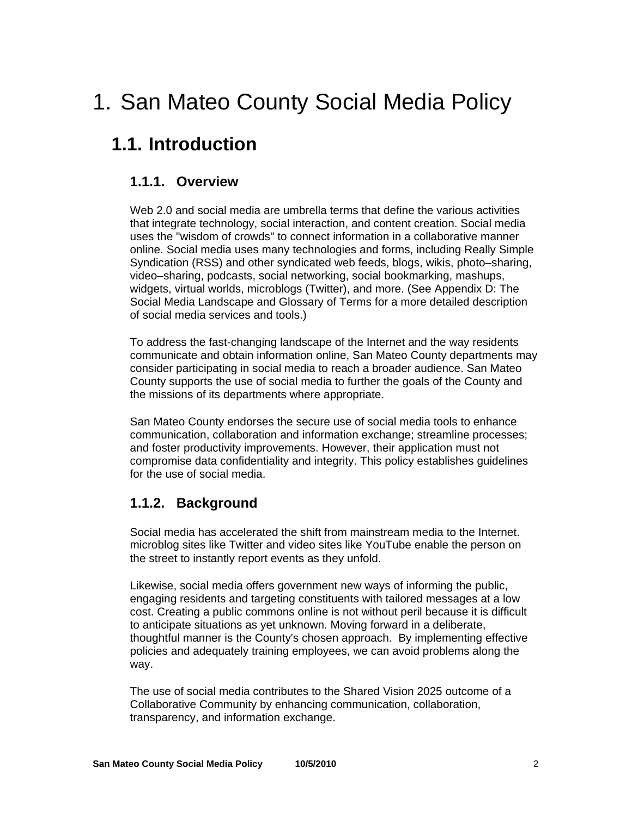## 1. San Mateo County Social Media Policy

### **1.1. Introduction**

### **1.1.1. Overview**

Web 2.0 and social media are umbrella terms that define the various activities that integrate technology, social interaction, and content creation. Social media uses the "wisdom of crowds" to connect information in a collaborative manner online. Social media uses many technologies and forms, including Really Simple Syndication (RSS) and other syndicated web feeds, blogs, wikis, photo–sharing, video–sharing, podcasts, social networking, social bookmarking, mashups, widgets, virtual worlds, microblogs (Twitter), and more. (See Appendix D: The Social Media Landscape and Glossary of Terms for a more detailed description of social media services and tools.)

To address the fast-changing landscape of the Internet and the way residents communicate and obtain information online, San Mateo County departments may consider participating in social media to reach a broader audience. San Mateo County supports the use of social media to further the goals of the County and the missions of its departments where appropriate.

San Mateo County endorses the secure use of social media tools to enhance communication, collaboration and information exchange; streamline processes; and foster productivity improvements. However, their application must not compromise data confidentiality and integrity. This policy establishes guidelines for the use of social media.

### **1.1.2. Background**

Social media has accelerated the shift from mainstream media to the Internet. microblog sites like Twitter and video sites like YouTube enable the person on the street to instantly report events as they unfold.

Likewise, social media offers government new ways of informing the public, engaging residents and targeting constituents with tailored messages at a low cost. Creating a public commons online is not without peril because it is difficult to anticipate situations as yet unknown. Moving forward in a deliberate, thoughtful manner is the County's chosen approach. By implementing effective policies and adequately training employees, we can avoid problems along the way.

The use of social media contributes to the Shared Vision 2025 outcome of a Collaborative Community by enhancing communication, collaboration, transparency, and information exchange.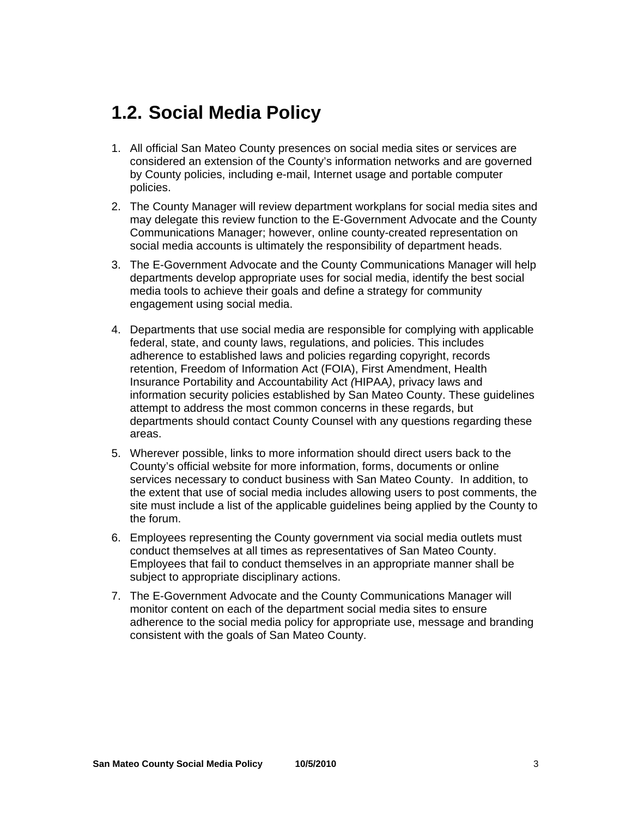### **1.2. Social Media Policy**

- 1. All official San Mateo County presences on social media sites or services are considered an extension of the County's information networks and are governed by County policies, including e-mail, Internet usage and portable computer policies.
- 2. The County Manager will review department workplans for social media sites and may delegate this review function to the E-Government Advocate and the County Communications Manager; however, online county-created representation on social media accounts is ultimately the responsibility of department heads.
- 3. The E-Government Advocate and the County Communications Manager will help departments develop appropriate uses for social media, identify the best social media tools to achieve their goals and define a strategy for community engagement using social media.
- 4. Departments that use social media are responsible for complying with applicable federal, state, and county laws, regulations, and policies. This includes adherence to established laws and policies regarding copyright, records retention, Freedom of Information Act (FOIA), First Amendment, Health Insurance Portability and Accountability Act *(*HIPAA*)*, privacy laws and information security policies established by San Mateo County. These guidelines attempt to address the most common concerns in these regards, but departments should contact County Counsel with any questions regarding these areas.
- 5. Wherever possible, links to more information should direct users back to the County's official website for more information, forms, documents or online services necessary to conduct business with San Mateo County. In addition, to the extent that use of social media includes allowing users to post comments, the site must include a list of the applicable guidelines being applied by the County to the forum.
- 6. Employees representing the County government via social media outlets must conduct themselves at all times as representatives of San Mateo County. Employees that fail to conduct themselves in an appropriate manner shall be subject to appropriate disciplinary actions.
- 7. The E-Government Advocate and the County Communications Manager will monitor content on each of the department social media sites to ensure adherence to the social media policy for appropriate use, message and branding consistent with the goals of San Mateo County.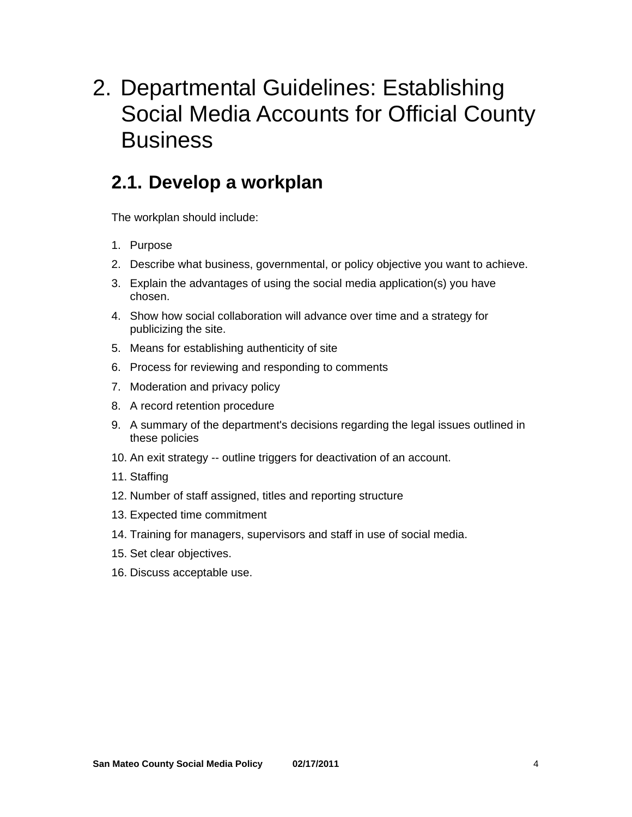## 2. Departmental Guidelines: Establishing Social Media Accounts for Official County **Business**

### **2.1. Develop a workplan**

The workplan should include:

- 1. Purpose
- 2. Describe what business, governmental, or policy objective you want to achieve.
- 3. Explain the advantages of using the social media application(s) you have chosen.
- 4. Show how social collaboration will advance over time and a strategy for publicizing the site.
- 5. Means for establishing authenticity of site
- 6. Process for reviewing and responding to comments
- 7. Moderation and privacy policy
- 8. A record retention procedure
- 9. A summary of the department's decisions regarding the legal issues outlined in these policies
- 10. An exit strategy -- outline triggers for deactivation of an account.
- 11. Staffing
- 12. Number of staff assigned, titles and reporting structure
- 13. Expected time commitment
- 14. Training for managers, supervisors and staff in use of social media.
- 15. Set clear objectives.
- 16. Discuss acceptable use.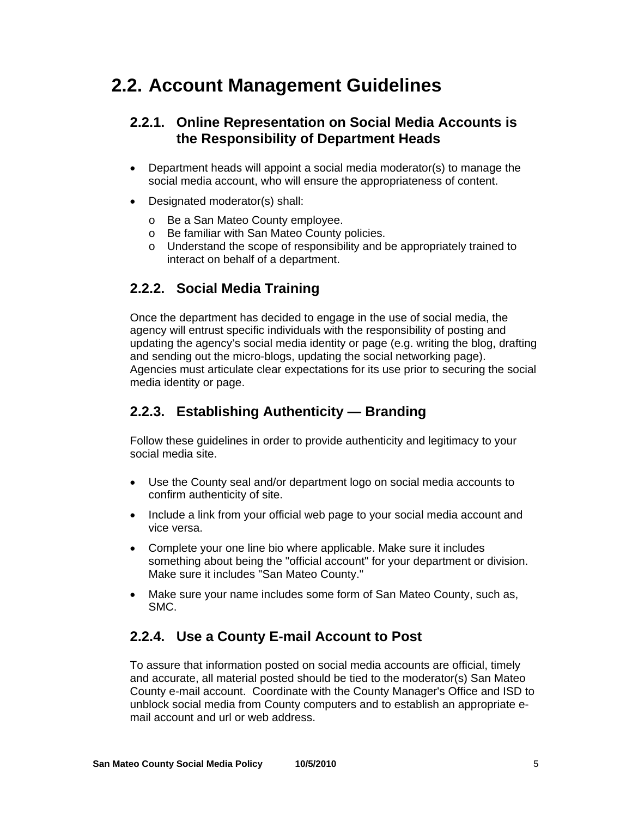### **2.2. Account Management Guidelines**

### **2.2.1. Online Representation on Social Media Accounts is the Responsibility of Department Heads**

- Department heads will appoint a social media moderator(s) to manage the social media account, who will ensure the appropriateness of content.
- Designated moderator(s) shall:
	- o Be a San Mateo County employee.
	- o Be familiar with San Mateo County policies.
	- o Understand the scope of responsibility and be appropriately trained to interact on behalf of a department.

### **2.2.2. Social Media Training**

Once the department has decided to engage in the use of social media, the agency will entrust specific individuals with the responsibility of posting and updating the agency's social media identity or page (e.g. writing the blog, drafting and sending out the micro-blogs, updating the social networking page). Agencies must articulate clear expectations for its use prior to securing the social media identity or page.

### **2.2.3. Establishing Authenticity — Branding**

Follow these guidelines in order to provide authenticity and legitimacy to your social media site.

- Use the County seal and/or department logo on social media accounts to confirm authenticity of site.
- Include a link from your official web page to your social media account and vice versa.
- Complete your one line bio where applicable. Make sure it includes something about being the "official account" for your department or division. Make sure it includes "San Mateo County."
- Make sure your name includes some form of San Mateo County, such as, SMC.

### **2.2.4. Use a County E-mail Account to Post**

To assure that information posted on social media accounts are official, timely and accurate, all material posted should be tied to the moderator(s) San Mateo County e-mail account. Coordinate with the County Manager's Office and ISD to unblock social media from County computers and to establish an appropriate email account and url or web address.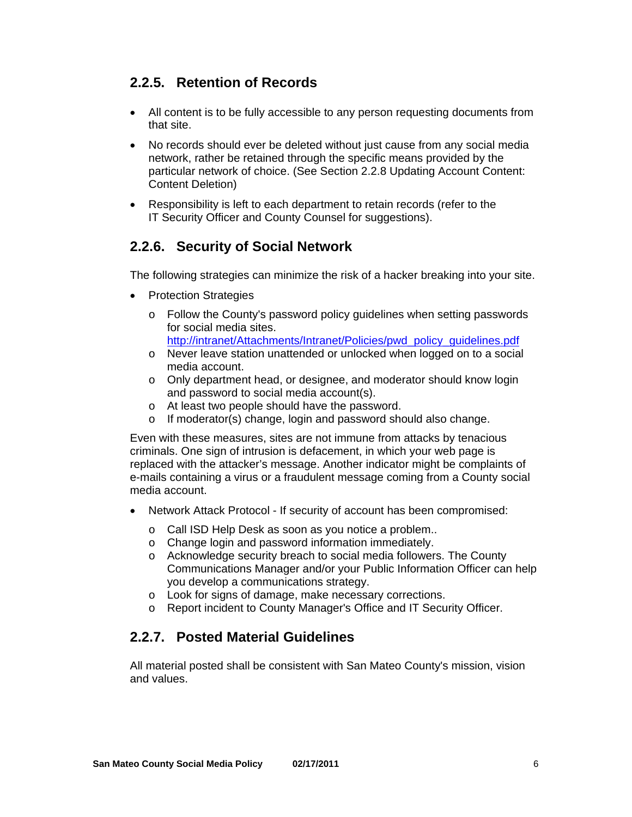### **2.2.5. Retention of Records**

- All content is to be fully accessible to any person requesting documents from that site.
- No records should ever be deleted without just cause from any social media network, rather be retained through the specific means provided by the particular network of choice. (See Section 2.2.8 Updating Account Content: Content Deletion)
- Responsibility is left to each department to retain records (refer to the IT Security Officer and County Counsel for suggestions).

### **2.2.6. Security of Social Network**

The following strategies can minimize the risk of a hacker breaking into your site.

- Protection Strategies
	- o Follow the County's password policy guidelines when setting passwords for social media sites.
		- http://intranet/Attachments/Intranet/Policies/pwd\_policy\_guidelines.pdf
	- o Never leave station unattended or unlocked when logged on to a social media account.
	- o Only department head, or designee, and moderator should know login and password to social media account(s).
	- o At least two people should have the password.
	- o If moderator(s) change, login and password should also change.

Even with these measures, sites are not immune from attacks by tenacious criminals. One sign of intrusion is defacement, in which your web page is replaced with the attacker's message. Another indicator might be complaints of e-mails containing a virus or a fraudulent message coming from a County social media account.

- Network Attack Protocol If security of account has been compromised:
	- o Call ISD Help Desk as soon as you notice a problem..
	- o Change login and password information immediately.
	- o Acknowledge security breach to social media followers. The County Communications Manager and/or your Public Information Officer can help you develop a communications strategy.
	- o Look for signs of damage, make necessary corrections.
	- o Report incident to County Manager's Office and IT Security Officer.

### **2.2.7. Posted Material Guidelines**

All material posted shall be consistent with San Mateo County's mission, vision and values.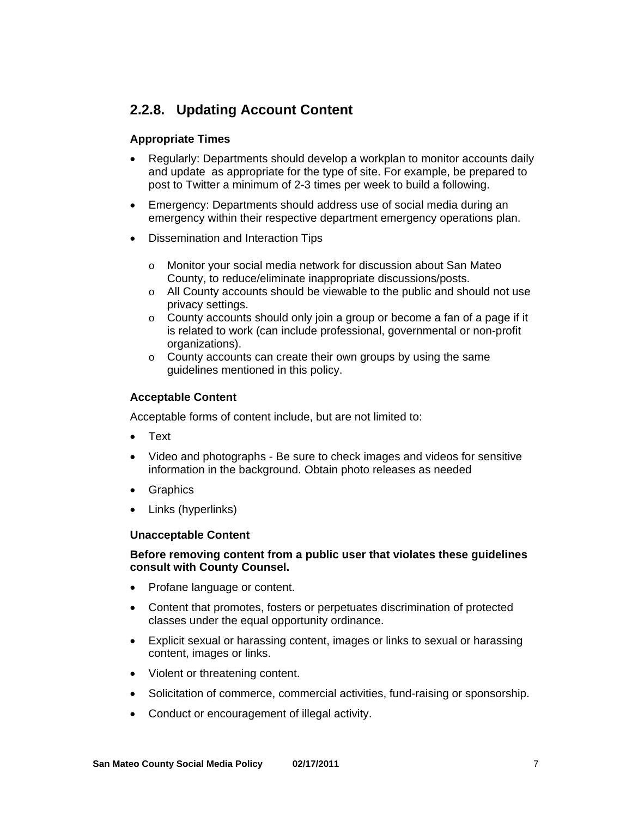### **2.2.8. Updating Account Content**

### **Appropriate Times**

- Regularly: Departments should develop a workplan to monitor accounts daily and update as appropriate for the type of site. For example, be prepared to post to Twitter a minimum of 2-3 times per week to build a following.
- Emergency: Departments should address use of social media during an emergency within their respective department emergency operations plan.
- Dissemination and Interaction Tips
	- o Monitor your social media network for discussion about San Mateo County, to reduce/eliminate inappropriate discussions/posts.
	- o All County accounts should be viewable to the public and should not use privacy settings.
	- o County accounts should only join a group or become a fan of a page if it is related to work (can include professional, governmental or non-profit organizations).
	- o County accounts can create their own groups by using the same guidelines mentioned in this policy.

### **Acceptable Content**

Acceptable forms of content include, but are not limited to:

- Text
- Video and photographs Be sure to check images and videos for sensitive information in the background. Obtain photo releases as needed
- Graphics
- Links (hyperlinks)

#### **Unacceptable Content**

#### **Before removing content from a public user that violates these guidelines consult with County Counsel.**

- Profane language or content.
- Content that promotes, fosters or perpetuates discrimination of protected classes under the equal opportunity ordinance.
- Explicit sexual or harassing content, images or links to sexual or harassing content, images or links.
- Violent or threatening content.
- Solicitation of commerce, commercial activities, fund-raising or sponsorship.
- Conduct or encouragement of illegal activity.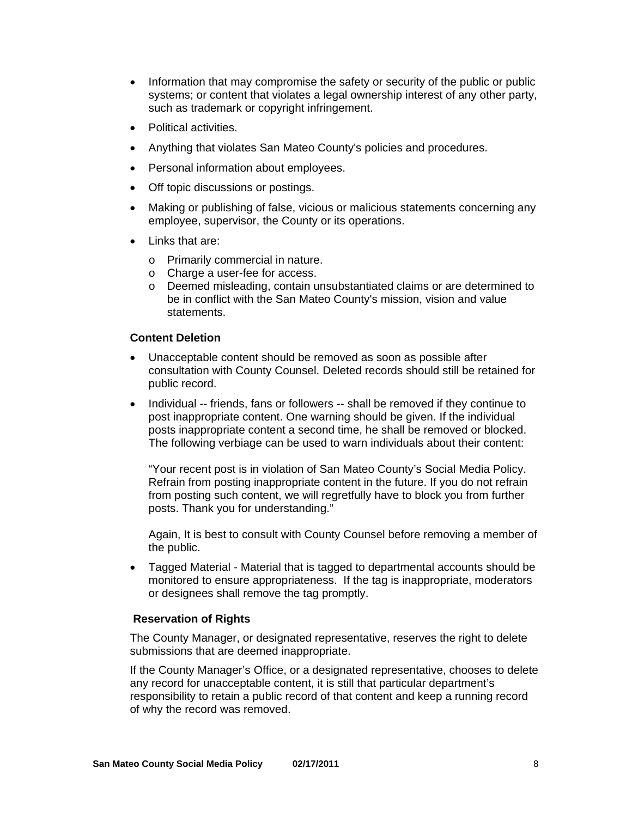- Information that may compromise the safety or security of the public or public systems; or content that violates a legal ownership interest of any other party, such as trademark or copyright infringement.
- Political activities.
- Anything that violates San Mateo County's policies and procedures.
- Personal information about employees.
- Off topic discussions or postings.
- Making or publishing of false, vicious or malicious statements concerning any employee, supervisor, the County or its operations.
- Links that are:
	- o Primarily commercial in nature.
	- o Charge a user-fee for access.
	- o Deemed misleading, contain unsubstantiated claims or are determined to be in conflict with the San Mateo County's mission, vision and value statements.

### **Content Deletion**

- Unacceptable content should be removed as soon as possible after consultation with County Counsel. Deleted records should still be retained for public record.
- Individual -- friends, fans or followers -- shall be removed if they continue to post inappropriate content. One warning should be given. If the individual posts inappropriate content a second time, he shall be removed or blocked. The following verbiage can be used to warn individuals about their content:

"Your recent post is in violation of San Mateo County's Social Media Policy. Refrain from posting inappropriate content in the future. If you do not refrain from posting such content, we will regretfully have to block you from further posts. Thank you for understanding."

Again, It is best to consult with County Counsel before removing a member of the public.

• Tagged Material - Material that is tagged to departmental accounts should be monitored to ensure appropriateness. If the tag is inappropriate, moderators or designees shall remove the tag promptly.

#### **Reservation of Rights**

The County Manager, or designated representative, reserves the right to delete submissions that are deemed inappropriate.

If the County Manager's Office, or a designated representative, chooses to delete any record for unacceptable content, it is still that particular department's responsibility to retain a public record of that content and keep a running record of why the record was removed.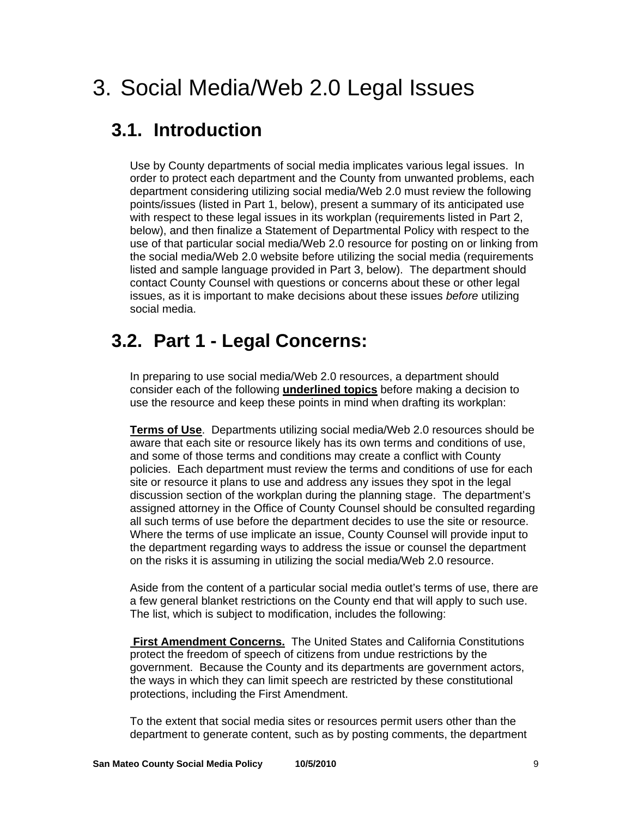## 3. Social Media/Web 2.0 Legal Issues

### **3.1. Introduction**

Use by County departments of social media implicates various legal issues. In order to protect each department and the County from unwanted problems, each department considering utilizing social media/Web 2.0 must review the following points/issues (listed in Part 1, below), present a summary of its anticipated use with respect to these legal issues in its workplan (requirements listed in Part 2, below), and then finalize a Statement of Departmental Policy with respect to the use of that particular social media/Web 2.0 resource for posting on or linking from the social media/Web 2.0 website before utilizing the social media (requirements listed and sample language provided in Part 3, below). The department should contact County Counsel with questions or concerns about these or other legal issues, as it is important to make decisions about these issues *before* utilizing social media.

### **3.2. Part 1 - Legal Concerns:**

In preparing to use social media/Web 2.0 resources, a department should consider each of the following **underlined topics** before making a decision to use the resource and keep these points in mind when drafting its workplan:

**Terms of Use**. Departments utilizing social media/Web 2.0 resources should be aware that each site or resource likely has its own terms and conditions of use, and some of those terms and conditions may create a conflict with County policies. Each department must review the terms and conditions of use for each site or resource it plans to use and address any issues they spot in the legal discussion section of the workplan during the planning stage. The department's assigned attorney in the Office of County Counsel should be consulted regarding all such terms of use before the department decides to use the site or resource. Where the terms of use implicate an issue, County Counsel will provide input to the department regarding ways to address the issue or counsel the department on the risks it is assuming in utilizing the social media/Web 2.0 resource.

Aside from the content of a particular social media outlet's terms of use, there are a few general blanket restrictions on the County end that will apply to such use. The list, which is subject to modification, includes the following:

**First Amendment Concerns.** The United States and California Constitutions protect the freedom of speech of citizens from undue restrictions by the government. Because the County and its departments are government actors, the ways in which they can limit speech are restricted by these constitutional protections, including the First Amendment.

To the extent that social media sites or resources permit users other than the department to generate content, such as by posting comments, the department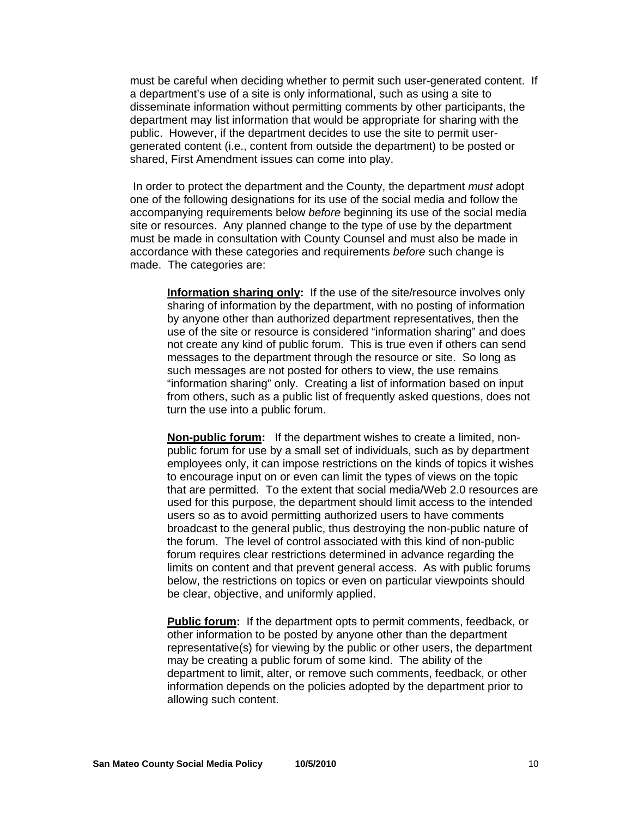must be careful when deciding whether to permit such user-generated content. If a department's use of a site is only informational, such as using a site to disseminate information without permitting comments by other participants, the department may list information that would be appropriate for sharing with the public. However, if the department decides to use the site to permit usergenerated content (i.e., content from outside the department) to be posted or shared, First Amendment issues can come into play.

 In order to protect the department and the County, the department *must* adopt one of the following designations for its use of the social media and follow the accompanying requirements below *before* beginning its use of the social media site or resources. Any planned change to the type of use by the department must be made in consultation with County Counsel and must also be made in accordance with these categories and requirements *before* such change is made. The categories are:

**Information sharing only:** If the use of the site/resource involves only sharing of information by the department, with no posting of information by anyone other than authorized department representatives, then the use of the site or resource is considered "information sharing" and does not create any kind of public forum. This is true even if others can send messages to the department through the resource or site. So long as such messages are not posted for others to view, the use remains "information sharing" only. Creating a list of information based on input from others, such as a public list of frequently asked questions, does not turn the use into a public forum.

**Non-public forum:** If the department wishes to create a limited, nonpublic forum for use by a small set of individuals, such as by department employees only, it can impose restrictions on the kinds of topics it wishes to encourage input on or even can limit the types of views on the topic that are permitted. To the extent that social media/Web 2.0 resources are used for this purpose, the department should limit access to the intended users so as to avoid permitting authorized users to have comments broadcast to the general public, thus destroying the non-public nature of the forum. The level of control associated with this kind of non-public forum requires clear restrictions determined in advance regarding the limits on content and that prevent general access. As with public forums below, the restrictions on topics or even on particular viewpoints should be clear, objective, and uniformly applied.

**Public forum:** If the department opts to permit comments, feedback, or other information to be posted by anyone other than the department representative(s) for viewing by the public or other users, the department may be creating a public forum of some kind. The ability of the department to limit, alter, or remove such comments, feedback, or other information depends on the policies adopted by the department prior to allowing such content.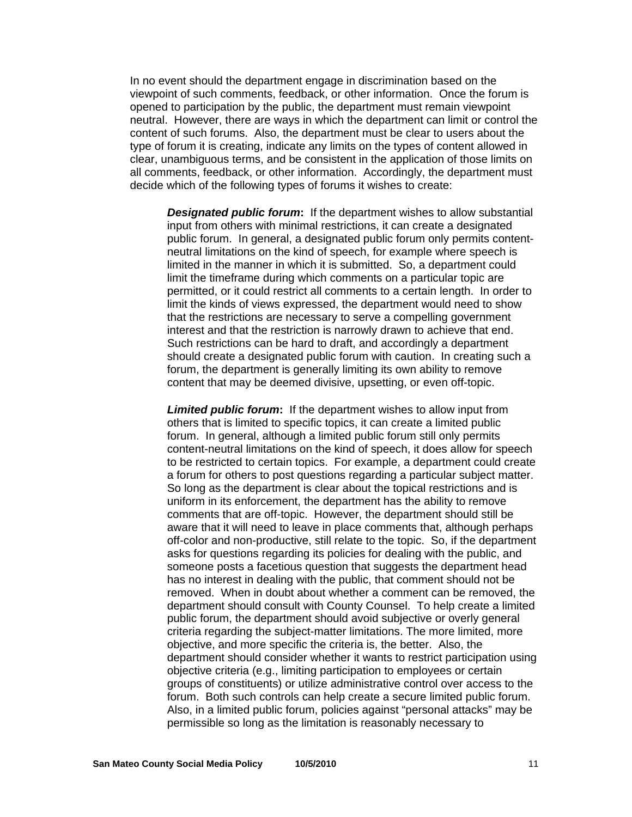In no event should the department engage in discrimination based on the viewpoint of such comments, feedback, or other information. Once the forum is opened to participation by the public, the department must remain viewpoint neutral. However, there are ways in which the department can limit or control the content of such forums. Also, the department must be clear to users about the type of forum it is creating, indicate any limits on the types of content allowed in clear, unambiguous terms, and be consistent in the application of those limits on all comments, feedback, or other information. Accordingly, the department must decide which of the following types of forums it wishes to create:

*Designated public forum***:** If the department wishes to allow substantial input from others with minimal restrictions, it can create a designated public forum. In general, a designated public forum only permits contentneutral limitations on the kind of speech, for example where speech is limited in the manner in which it is submitted. So, a department could limit the timeframe during which comments on a particular topic are permitted, or it could restrict all comments to a certain length. In order to limit the kinds of views expressed, the department would need to show that the restrictions are necessary to serve a compelling government interest and that the restriction is narrowly drawn to achieve that end. Such restrictions can be hard to draft, and accordingly a department should create a designated public forum with caution. In creating such a forum, the department is generally limiting its own ability to remove content that may be deemed divisive, upsetting, or even off-topic.

*Limited public forum***:** If the department wishes to allow input from others that is limited to specific topics, it can create a limited public forum. In general, although a limited public forum still only permits content-neutral limitations on the kind of speech, it does allow for speech to be restricted to certain topics. For example, a department could create a forum for others to post questions regarding a particular subject matter. So long as the department is clear about the topical restrictions and is uniform in its enforcement, the department has the ability to remove comments that are off-topic. However, the department should still be aware that it will need to leave in place comments that, although perhaps off-color and non-productive, still relate to the topic. So, if the department asks for questions regarding its policies for dealing with the public, and someone posts a facetious question that suggests the department head has no interest in dealing with the public, that comment should not be removed. When in doubt about whether a comment can be removed, the department should consult with County Counsel. To help create a limited public forum, the department should avoid subjective or overly general criteria regarding the subject-matter limitations. The more limited, more objective, and more specific the criteria is, the better. Also, the department should consider whether it wants to restrict participation using objective criteria (e.g., limiting participation to employees or certain groups of constituents) or utilize administrative control over access to the forum. Both such controls can help create a secure limited public forum. Also, in a limited public forum, policies against "personal attacks" may be permissible so long as the limitation is reasonably necessary to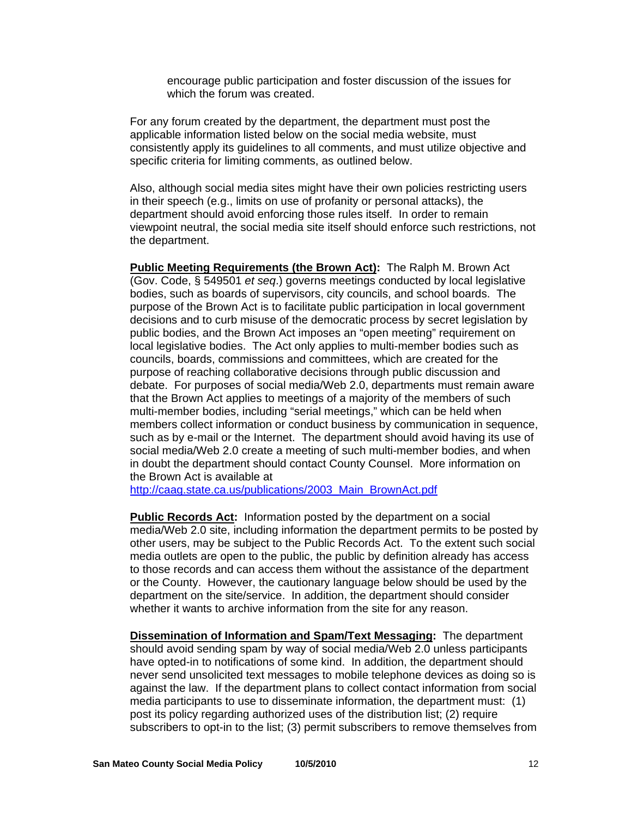encourage public participation and foster discussion of the issues for which the forum was created.

For any forum created by the department, the department must post the applicable information listed below on the social media website, must consistently apply its guidelines to all comments, and must utilize objective and specific criteria for limiting comments, as outlined below.

Also, although social media sites might have their own policies restricting users in their speech (e.g., limits on use of profanity or personal attacks), the department should avoid enforcing those rules itself. In order to remain viewpoint neutral, the social media site itself should enforce such restrictions, not the department.

**Public Meeting Requirements (the Brown Act):** The Ralph M. Brown Act (Gov. Code, § 549501 *et seq*.) governs meetings conducted by local legislative bodies, such as boards of supervisors, city councils, and school boards. The purpose of the Brown Act is to facilitate public participation in local government decisions and to curb misuse of the democratic process by secret legislation by public bodies, and the Brown Act imposes an "open meeting" requirement on local legislative bodies. The Act only applies to multi-member bodies such as councils, boards, commissions and committees, which are created for the purpose of reaching collaborative decisions through public discussion and debate. For purposes of social media/Web 2.0, departments must remain aware that the Brown Act applies to meetings of a majority of the members of such multi-member bodies, including "serial meetings," which can be held when members collect information or conduct business by communication in sequence, such as by e-mail or the Internet. The department should avoid having its use of social media/Web 2.0 create a meeting of such multi-member bodies, and when in doubt the department should contact County Counsel. More information on the Brown Act is available at

[http://caag.state.ca.us/publications/2003\\_Main\\_BrownAct.pdf](http://caag.state.ca.us/publications/2003_Main_BrownAct.pdf)

**Public Records Act:** Information posted by the department on a social media/Web 2.0 site, including information the department permits to be posted by other users, may be subject to the Public Records Act. To the extent such social media outlets are open to the public, the public by definition already has access to those records and can access them without the assistance of the department or the County. However, the cautionary language below should be used by the department on the site/service. In addition, the department should consider whether it wants to archive information from the site for any reason.

**Dissemination of Information and Spam/Text Messaging:** The department should avoid sending spam by way of social media/Web 2.0 unless participants have opted-in to notifications of some kind. In addition, the department should never send unsolicited text messages to mobile telephone devices as doing so is against the law. If the department plans to collect contact information from social media participants to use to disseminate information, the department must: (1) post its policy regarding authorized uses of the distribution list; (2) require subscribers to opt-in to the list; (3) permit subscribers to remove themselves from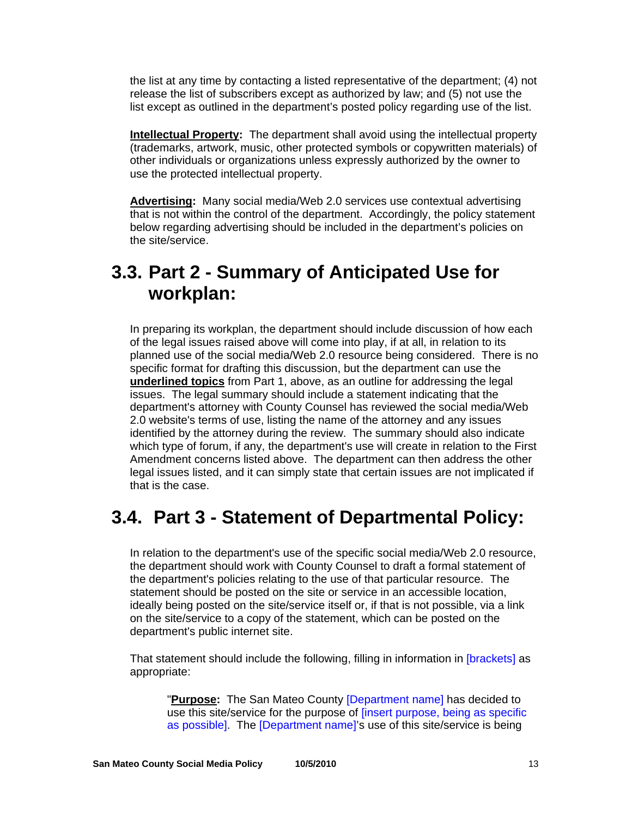the list at any time by contacting a listed representative of the department; (4) not release the list of subscribers except as authorized by law; and (5) not use the list except as outlined in the department's posted policy regarding use of the list.

**Intellectual Property:** The department shall avoid using the intellectual property (trademarks, artwork, music, other protected symbols or copywritten materials) of other individuals or organizations unless expressly authorized by the owner to use the protected intellectual property.

**Advertising:** Many social media/Web 2.0 services use contextual advertising that is not within the control of the department. Accordingly, the policy statement below regarding advertising should be included in the department's policies on the site/service.

### **3.3. Part 2 - Summary of Anticipated Use for workplan:**

In preparing its workplan, the department should include discussion of how each of the legal issues raised above will come into play, if at all, in relation to its planned use of the social media/Web 2.0 resource being considered. There is no specific format for drafting this discussion, but the department can use the **underlined topics** from Part 1, above, as an outline for addressing the legal issues. The legal summary should include a statement indicating that the department's attorney with County Counsel has reviewed the social media/Web 2.0 website's terms of use, listing the name of the attorney and any issues identified by the attorney during the review. The summary should also indicate which type of forum, if any, the department's use will create in relation to the First Amendment concerns listed above. The department can then address the other legal issues listed, and it can simply state that certain issues are not implicated if that is the case.

### **3.4. Part 3 - Statement of Departmental Policy:**

In relation to the department's use of the specific social media/Web 2.0 resource, the department should work with County Counsel to draft a formal statement of the department's policies relating to the use of that particular resource. The statement should be posted on the site or service in an accessible location, ideally being posted on the site/service itself or, if that is not possible, via a link on the site/service to a copy of the statement, which can be posted on the department's public internet site.

That statement should include the following, filling in information in [brackets] as appropriate:

"**Purpose:** The San Mateo County [Department name] has decided to use this site/service for the purpose of [insert purpose, being as specific as possible]. The [Department name]'s use of this site/service is being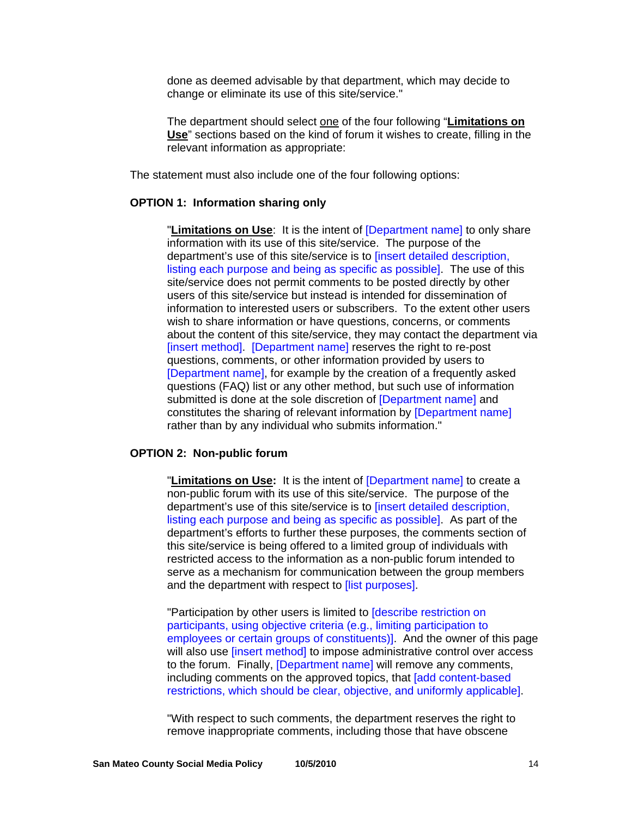done as deemed advisable by that department, which may decide to change or eliminate its use of this site/service."

The department should select one of the four following "**Limitations on Use**" sections based on the kind of forum it wishes to create, filling in the relevant information as appropriate:

The statement must also include one of the four following options:

#### **OPTION 1: Information sharing only**

"**Limitations on Use**: It is the intent of [Department name] to only share information with its use of this site/service. The purpose of the department's use of this site/service is to [insert detailed description, listing each purpose and being as specific as possible]. The use of this site/service does not permit comments to be posted directly by other users of this site/service but instead is intended for dissemination of information to interested users or subscribers. To the extent other users wish to share information or have questions, concerns, or comments about the content of this site/service, they may contact the department via [insert method]. [Department name] reserves the right to re-post questions, comments, or other information provided by users to [Department name], for example by the creation of a frequently asked questions (FAQ) list or any other method, but such use of information submitted is done at the sole discretion of **[Department name]** and constitutes the sharing of relevant information by [Department name] rather than by any individual who submits information."

### **OPTION 2: Non-public forum**

"**Limitations on Use:** It is the intent of [Department name] to create a non-public forum with its use of this site/service. The purpose of the department's use of this site/service is to [insert detailed description, listing each purpose and being as specific as possible]. As part of the department's efforts to further these purposes, the comments section of this site/service is being offered to a limited group of individuals with restricted access to the information as a non-public forum intended to serve as a mechanism for communication between the group members and the department with respect to *[list purposes]*.

"Participation by other users is limited to [describe restriction on participants, using objective criteria (e.g., limiting participation to employees or certain groups of constituents)]. And the owner of this page will also use *[insert method]* to impose administrative control over access to the forum. Finally, [Department name] will remove any comments. including comments on the approved topics, that [add content-based restrictions, which should be clear, objective, and uniformly applicable].

"With respect to such comments, the department reserves the right to remove inappropriate comments, including those that have obscene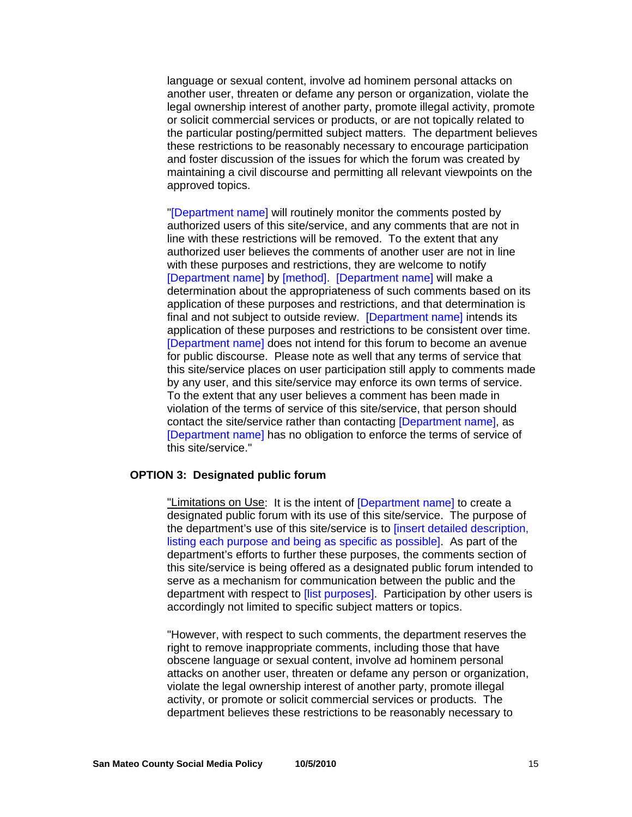language or sexual content, involve ad hominem personal attacks on another user, threaten or defame any person or organization, violate the legal ownership interest of another party, promote illegal activity, promote or solicit commercial services or products, or are not topically related to the particular posting/permitted subject matters. The department believes these restrictions to be reasonably necessary to encourage participation and foster discussion of the issues for which the forum was created by maintaining a civil discourse and permitting all relevant viewpoints on the approved topics.

"[Department name] will routinely monitor the comments posted by authorized users of this site/service, and any comments that are not in line with these restrictions will be removed. To the extent that any authorized user believes the comments of another user are not in line with these purposes and restrictions, they are welcome to notify [Department name] by [method]. [Department name] will make a determination about the appropriateness of such comments based on its application of these purposes and restrictions, and that determination is final and not subject to outside review. [Department name] intends its application of these purposes and restrictions to be consistent over time. [Department name] does not intend for this forum to become an avenue for public discourse. Please note as well that any terms of service that this site/service places on user participation still apply to comments made by any user, and this site/service may enforce its own terms of service. To the extent that any user believes a comment has been made in violation of the terms of service of this site/service, that person should contact the site/service rather than contacting [Department name], as [Department name] has no obligation to enforce the terms of service of this site/service."

#### **OPTION 3: Designated public forum**

"Limitations on Use: It is the intent of **[Department name]** to create a designated public forum with its use of this site/service. The purpose of the department's use of this site/service is to [insert detailed description, listing each purpose and being as specific as possible]. As part of the department's efforts to further these purposes, the comments section of this site/service is being offered as a designated public forum intended to serve as a mechanism for communication between the public and the department with respect to *[list purposes]*. Participation by other users is accordingly not limited to specific subject matters or topics.

"However, with respect to such comments, the department reserves the right to remove inappropriate comments, including those that have obscene language or sexual content, involve ad hominem personal attacks on another user, threaten or defame any person or organization, violate the legal ownership interest of another party, promote illegal activity, or promote or solicit commercial services or products. The department believes these restrictions to be reasonably necessary to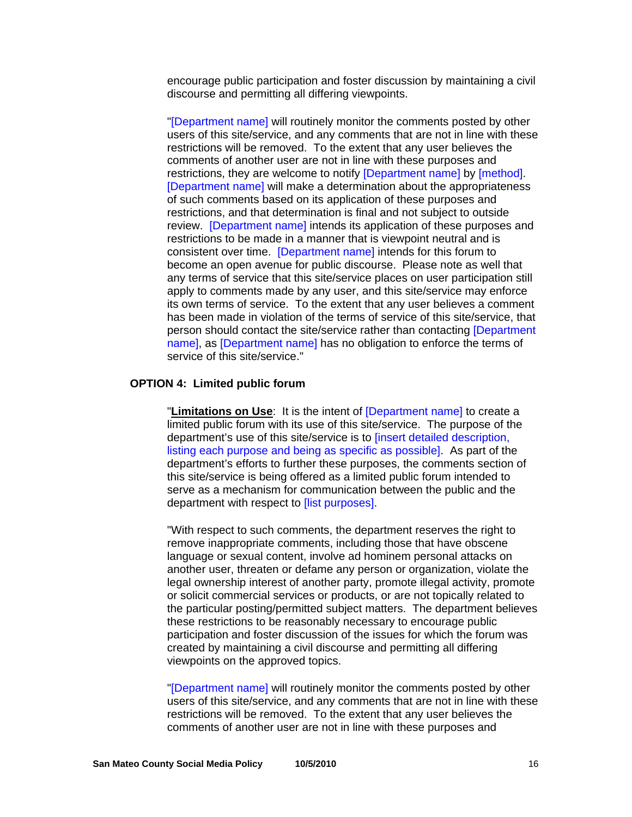encourage public participation and foster discussion by maintaining a civil discourse and permitting all differing viewpoints.

"[Department name] will routinely monitor the comments posted by other users of this site/service, and any comments that are not in line with these restrictions will be removed. To the extent that any user believes the comments of another user are not in line with these purposes and restrictions, they are welcome to notify [Department name] by [method]. [Department name] will make a determination about the appropriateness of such comments based on its application of these purposes and restrictions, and that determination is final and not subject to outside review. [Department name] intends its application of these purposes and restrictions to be made in a manner that is viewpoint neutral and is consistent over time. [Department name] intends for this forum to become an open avenue for public discourse. Please note as well that any terms of service that this site/service places on user participation still apply to comments made by any user, and this site/service may enforce its own terms of service. To the extent that any user believes a comment has been made in violation of the terms of service of this site/service, that person should contact the site/service rather than contacting [Department name], as [Department name] has no obligation to enforce the terms of service of this site/service."

#### **OPTION 4: Limited public forum**

"**Limitations on Use**: It is the intent of [Department name] to create a limited public forum with its use of this site/service. The purpose of the department's use of this site/service is to [insert detailed description, listing each purpose and being as specific as possible]. As part of the department's efforts to further these purposes, the comments section of this site/service is being offered as a limited public forum intended to serve as a mechanism for communication between the public and the department with respect to **[list purposes]**.

"With respect to such comments, the department reserves the right to remove inappropriate comments, including those that have obscene language or sexual content, involve ad hominem personal attacks on another user, threaten or defame any person or organization, violate the legal ownership interest of another party, promote illegal activity, promote or solicit commercial services or products, or are not topically related to the particular posting/permitted subject matters. The department believes these restrictions to be reasonably necessary to encourage public participation and foster discussion of the issues for which the forum was created by maintaining a civil discourse and permitting all differing viewpoints on the approved topics.

"[Department name] will routinely monitor the comments posted by other users of this site/service, and any comments that are not in line with these restrictions will be removed. To the extent that any user believes the comments of another user are not in line with these purposes and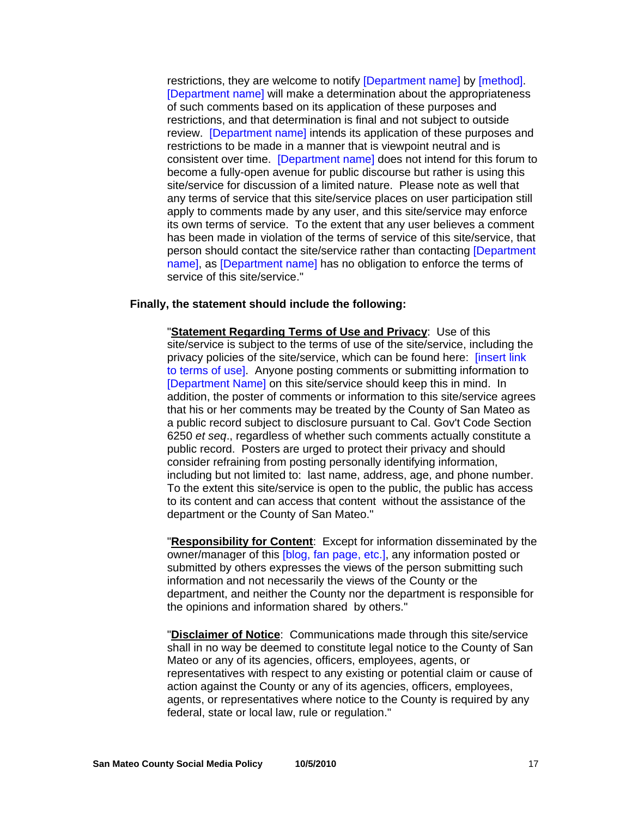restrictions, they are welcome to notify [Department name] by [method]. [Department name] will make a determination about the appropriateness of such comments based on its application of these purposes and restrictions, and that determination is final and not subject to outside review. [Department name] intends its application of these purposes and restrictions to be made in a manner that is viewpoint neutral and is consistent over time. [Department name] does not intend for this forum to become a fully-open avenue for public discourse but rather is using this site/service for discussion of a limited nature. Please note as well that any terms of service that this site/service places on user participation still apply to comments made by any user, and this site/service may enforce its own terms of service. To the extent that any user believes a comment has been made in violation of the terms of service of this site/service, that person should contact the site/service rather than contacting [Department name], as [Department name] has no obligation to enforce the terms of service of this site/service."

#### **Finally, the statement should include the following:**

"**Statement Regarding Terms of Use and Privacy**: Use of this site/service is subject to the terms of use of the site/service, including the privacy policies of the site/service, which can be found here: [insert link to terms of use]. Anyone posting comments or submitting information to [Department Name] on this site/service should keep this in mind. In addition, the poster of comments or information to this site/service agrees that his or her comments may be treated by the County of San Mateo as a public record subject to disclosure pursuant to Cal. Gov't Code Section 6250 *et seq*., regardless of whether such comments actually constitute a public record. Posters are urged to protect their privacy and should consider refraining from posting personally identifying information, including but not limited to: last name, address, age, and phone number. To the extent this site/service is open to the public, the public has access to its content and can access that content without the assistance of the department or the County of San Mateo."

"**Responsibility for Content**: Except for information disseminated by the owner/manager of this [blog, fan page, etc.], any information posted or submitted by others expresses the views of the person submitting such information and not necessarily the views of the County or the department, and neither the County nor the department is responsible for the opinions and information shared by others."

"**Disclaimer of Notice**: Communications made through this site/service shall in no way be deemed to constitute legal notice to the County of San Mateo or any of its agencies, officers, employees, agents, or representatives with respect to any existing or potential claim or cause of action against the County or any of its agencies, officers, employees, agents, or representatives where notice to the County is required by any federal, state or local law, rule or regulation."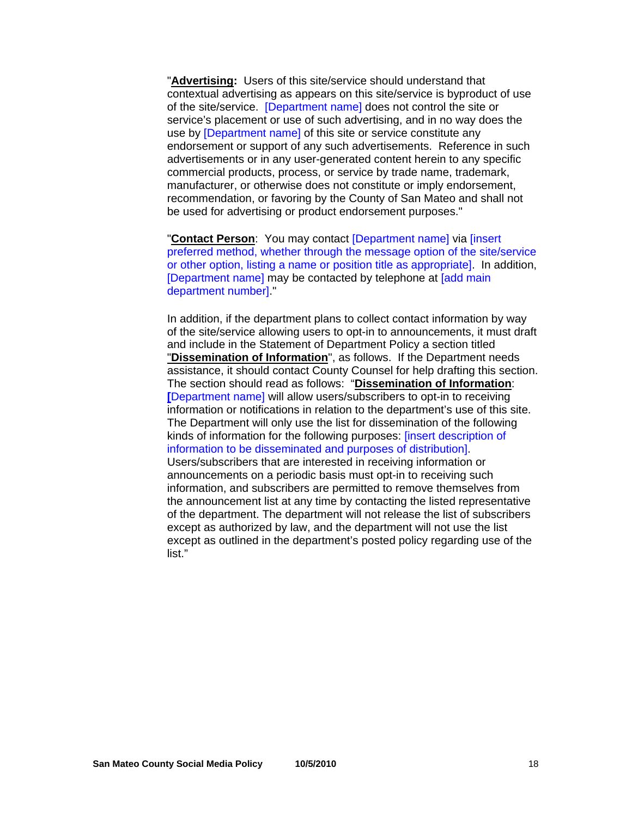"**Advertising:** Users of this site/service should understand that contextual advertising as appears on this site/service is byproduct of use of the site/service. [Department name] does not control the site or service's placement or use of such advertising, and in no way does the use by [Department name] of this site or service constitute any endorsement or support of any such advertisements. Reference in such advertisements or in any user-generated content herein to any specific commercial products, process, or service by trade name, trademark, manufacturer, or otherwise does not constitute or imply endorsement, recommendation, or favoring by the County of San Mateo and shall not be used for advertising or product endorsement purposes."

"**Contact Person**: You may contact [Department name] via [insert preferred method, whether through the message option of the site/service or other option, listing a name or position title as appropriate]. In addition, [Department name] may be contacted by telephone at [add main] department number]."

In addition, if the department plans to collect contact information by way of the site/service allowing users to opt-in to announcements, it must draft and include in the Statement of Department Policy a section titled "**Dissemination of Information**", as follows. If the Department needs assistance, it should contact County Counsel for help drafting this section. The section should read as follows: "**Dissemination of Information**: **[**Department name] will allow users/subscribers to opt-in to receiving information or notifications in relation to the department's use of this site. The Department will only use the list for dissemination of the following kinds of information for the following purposes: [insert description of information to be disseminated and purposes of distribution]. Users/subscribers that are interested in receiving information or announcements on a periodic basis must opt-in to receiving such information, and subscribers are permitted to remove themselves from the announcement list at any time by contacting the listed representative of the department. The department will not release the list of subscribers except as authorized by law, and the department will not use the list except as outlined in the department's posted policy regarding use of the list."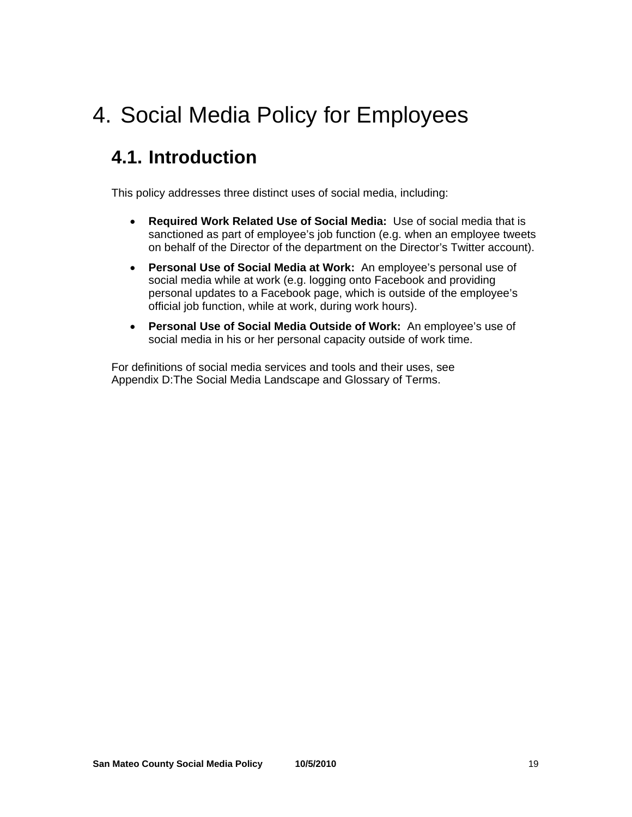## 4. Social Media Policy for Employees

### **4.1. Introduction**

This policy addresses three distinct uses of social media, including:

- **Required Work Related Use of Social Media:** Use of social media that is sanctioned as part of employee's job function (e.g. when an employee tweets on behalf of the Director of the department on the Director's Twitter account).
- **Personal Use of Social Media at Work:** An employee's personal use of social media while at work (e.g. logging onto Facebook and providing personal updates to a Facebook page, which is outside of the employee's official job function, while at work, during work hours).
- **Personal Use of Social Media Outside of Work:** An employee's use of social media in his or her personal capacity outside of work time.

For definitions of social media services and tools and their uses, see Appendix D:The Social Media Landscape and Glossary of Terms.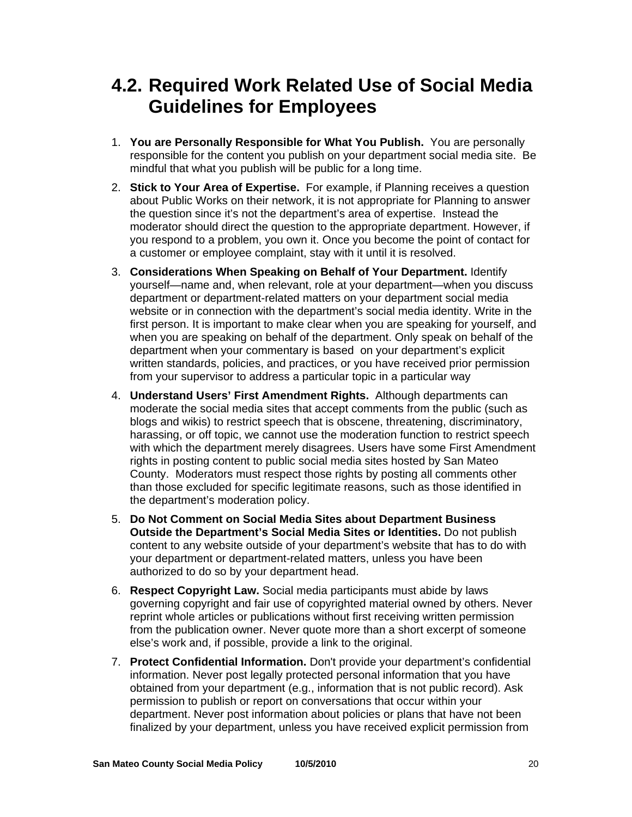### **4.2. Required Work Related Use of Social Media Guidelines for Employees**

- 1. **You are Personally Responsible for What You Publish.** You are personally responsible for the content you publish on your department social media site. Be mindful that what you publish will be public for a long time.
- 2. **Stick to Your Area of Expertise.** For example, if Planning receives a question about Public Works on their network, it is not appropriate for Planning to answer the question since it's not the department's area of expertise. Instead the moderator should direct the question to the appropriate department. However, if you respond to a problem, you own it. Once you become the point of contact for a customer or employee complaint, stay with it until it is resolved.
- 3. **Considerations When Speaking on Behalf of Your Department.** Identify yourself—name and, when relevant, role at your department—when you discuss department or department-related matters on your department social media website or in connection with the department's social media identity. Write in the first person. It is important to make clear when you are speaking for yourself, and when you are speaking on behalf of the department. Only speak on behalf of the department when your commentary is based on your department's explicit written standards, policies, and practices, or you have received prior permission from your supervisor to address a particular topic in a particular way
- 4. **Understand Users' First Amendment Rights.** Although departments can moderate the social media sites that accept comments from the public (such as blogs and wikis) to restrict speech that is obscene, threatening, discriminatory, harassing, or off topic, we cannot use the moderation function to restrict speech with which the department merely disagrees. Users have some First Amendment rights in posting content to public social media sites hosted by San Mateo County. Moderators must respect those rights by posting all comments other than those excluded for specific legitimate reasons, such as those identified in the department's moderation policy.
- 5. **Do Not Comment on Social Media Sites about Department Business Outside the Department's Social Media Sites or Identities.** Do not publish content to any website outside of your department's website that has to do with your department or department-related matters, unless you have been authorized to do so by your department head.
- 6. **Respect Copyright Law.** Social media participants must abide by laws governing copyright and fair use of copyrighted material owned by others. Never reprint whole articles or publications without first receiving written permission from the publication owner. Never quote more than a short excerpt of someone else's work and, if possible, provide a link to the original.
- 7. **Protect Confidential Information.** Don't provide your department's confidential information. Never post legally protected personal information that you have obtained from your department (e.g., information that is not public record). Ask permission to publish or report on conversations that occur within your department. Never post information about policies or plans that have not been finalized by your department, unless you have received explicit permission from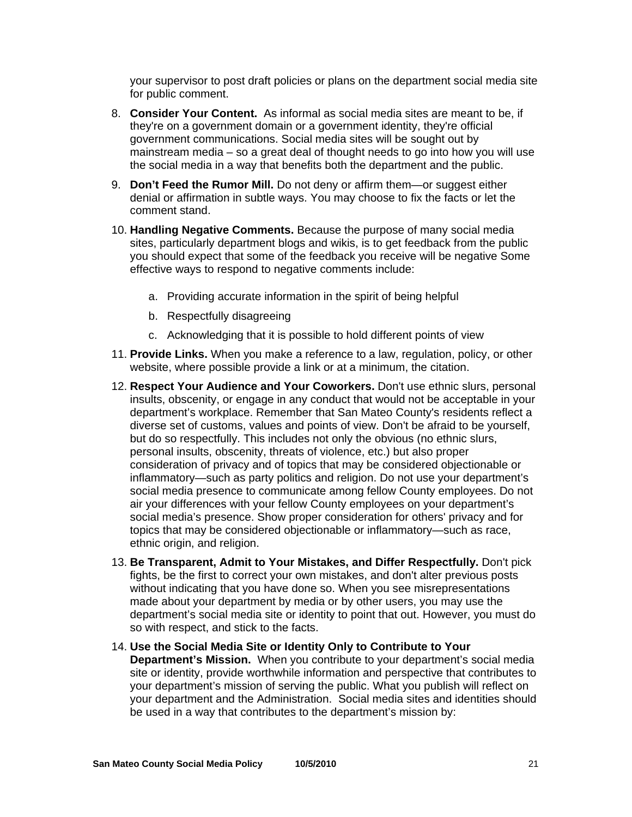your supervisor to post draft policies or plans on the department social media site for public comment.

- 8. **Consider Your Content.** As informal as social media sites are meant to be, if they're on a government domain or a government identity, they're official government communications. Social media sites will be sought out by mainstream media – so a great deal of thought needs to go into how you will use the social media in a way that benefits both the department and the public.
- 9. **Don't Feed the Rumor Mill.** Do not deny or affirm them—or suggest either denial or affirmation in subtle ways. You may choose to fix the facts or let the comment stand.
- 10. **Handling Negative Comments.** Because the purpose of many social media sites, particularly department blogs and wikis, is to get feedback from the public you should expect that some of the feedback you receive will be negative Some effective ways to respond to negative comments include:
	- a. Providing accurate information in the spirit of being helpful
	- b. Respectfully disagreeing
	- c. Acknowledging that it is possible to hold different points of view
- 11. **Provide Links.** When you make a reference to a law, regulation, policy, or other website, where possible provide a link or at a minimum, the citation.
- 12. **Respect Your Audience and Your Coworkers.** Don't use ethnic slurs, personal insults, obscenity, or engage in any conduct that would not be acceptable in your department's workplace. Remember that San Mateo County's residents reflect a diverse set of customs, values and points of view. Don't be afraid to be yourself, but do so respectfully. This includes not only the obvious (no ethnic slurs, personal insults, obscenity, threats of violence, etc.) but also proper consideration of privacy and of topics that may be considered objectionable or inflammatory—such as party politics and religion. Do not use your department's social media presence to communicate among fellow County employees. Do not air your differences with your fellow County employees on your department's social media's presence. Show proper consideration for others' privacy and for topics that may be considered objectionable or inflammatory—such as race, ethnic origin, and religion.
- 13. **Be Transparent, Admit to Your Mistakes, and Differ Respectfully.** Don't pick fights, be the first to correct your own mistakes, and don't alter previous posts without indicating that you have done so. When you see misrepresentations made about your department by media or by other users, you may use the department's social media site or identity to point that out. However, you must do so with respect, and stick to the facts.
- 14. **Use the Social Media Site or Identity Only to Contribute to Your Department's Mission.** When you contribute to your department's social media site or identity, provide worthwhile information and perspective that contributes to your department's mission of serving the public. What you publish will reflect on your department and the Administration. Social media sites and identities should be used in a way that contributes to the department's mission by: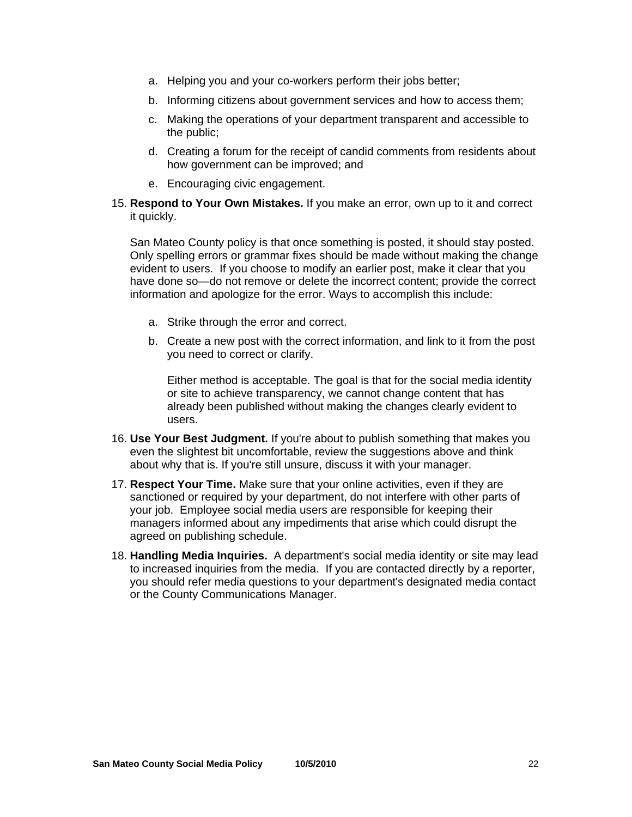- a. Helping you and your co-workers perform their jobs better;
- b. Informing citizens about government services and how to access them;
- c. Making the operations of your department transparent and accessible to the public;
- d. Creating a forum for the receipt of candid comments from residents about how government can be improved; and
- e. Encouraging civic engagement.
- 15. **Respond to Your Own Mistakes.** If you make an error, own up to it and correct it quickly.

San Mateo County policy is that once something is posted, it should stay posted. Only spelling errors or grammar fixes should be made without making the change evident to users. If you choose to modify an earlier post, make it clear that you have done so—do not remove or delete the incorrect content; provide the correct information and apologize for the error. Ways to accomplish this include:

- a. Strike through the error and correct.
- b. Create a new post with the correct information, and link to it from the post you need to correct or clarify.

Either method is acceptable. The goal is that for the social media identity or site to achieve transparency, we cannot change content that has already been published without making the changes clearly evident to users.

- 16. **Use Your Best Judgment.** If you're about to publish something that makes you even the slightest bit uncomfortable, review the suggestions above and think about why that is. If you're still unsure, discuss it with your manager.
- 17. **Respect Your Time.** Make sure that your online activities, even if they are sanctioned or required by your department, do not interfere with other parts of your job. Employee social media users are responsible for keeping their managers informed about any impediments that arise which could disrupt the agreed on publishing schedule.
- 18. **Handling Media Inquiries.** A department's social media identity or site may lead to increased inquiries from the media. If you are contacted directly by a reporter, you should refer media questions to your department's designated media contact or the County Communications Manager.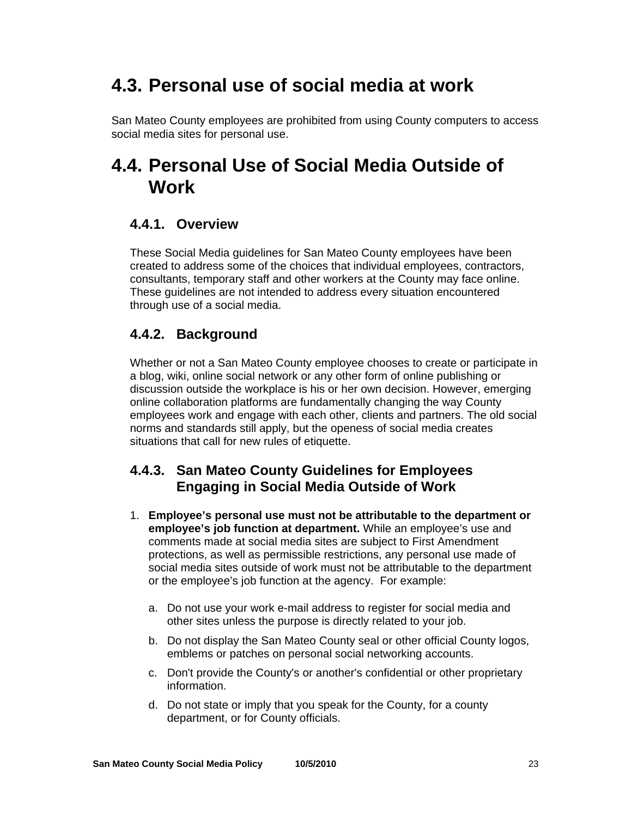### **4.3. Personal use of social media at work**

San Mateo County employees are prohibited from using County computers to access social media sites for personal use.

### **4.4. Personal Use of Social Media Outside of Work**

### **4.4.1. Overview**

These Social Media guidelines for San Mateo County employees have been created to address some of the choices that individual employees, contractors, consultants, temporary staff and other workers at the County may face online. These guidelines are not intended to address every situation encountered through use of a social media.

### **4.4.2. Background**

Whether or not a San Mateo County employee chooses to create or participate in a blog, wiki, online social network or any other form of online publishing or discussion outside the workplace is his or her own decision. However, emerging online collaboration platforms are fundamentally changing the way County employees work and engage with each other, clients and partners. The old social norms and standards still apply, but the openess of social media creates situations that call for new rules of etiquette.

### **4.4.3. San Mateo County Guidelines for Employees Engaging in Social Media Outside of Work**

- 1. **Employee's personal use must not be attributable to the department or employee's job function at department.** While an employee's use and comments made at social media sites are subject to First Amendment protections, as well as permissible restrictions, any personal use made of social media sites outside of work must not be attributable to the department or the employee's job function at the agency. For example:
	- a. Do not use your work e-mail address to register for social media and other sites unless the purpose is directly related to your job.
	- b. Do not display the San Mateo County seal or other official County logos, emblems or patches on personal social networking accounts.
	- c. Don't provide the County's or another's confidential or other proprietary information.
	- d. Do not state or imply that you speak for the County, for a county department, or for County officials.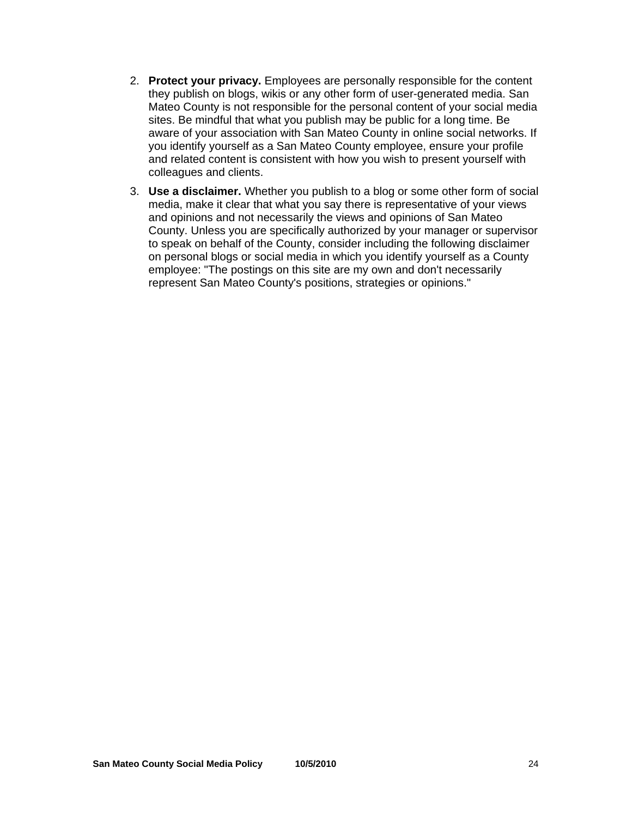- 2. **Protect your privacy.** Employees are personally responsible for the content they publish on blogs, wikis or any other form of user-generated media. San Mateo County is not responsible for the personal content of your social media sites. Be mindful that what you publish may be public for a long time. Be aware of your association with San Mateo County in online social networks. If you identify yourself as a San Mateo County employee, ensure your profile and related content is consistent with how you wish to present yourself with colleagues and clients.
- 3. **Use a disclaimer.** Whether you publish to a blog or some other form of social media, make it clear that what you say there is representative of your views and opinions and not necessarily the views and opinions of San Mateo County. Unless you are specifically authorized by your manager or supervisor to speak on behalf of the County, consider including the following disclaimer on personal blogs or social media in which you identify yourself as a County employee: "The postings on this site are my own and don't necessarily represent San Mateo County's positions, strategies or opinions."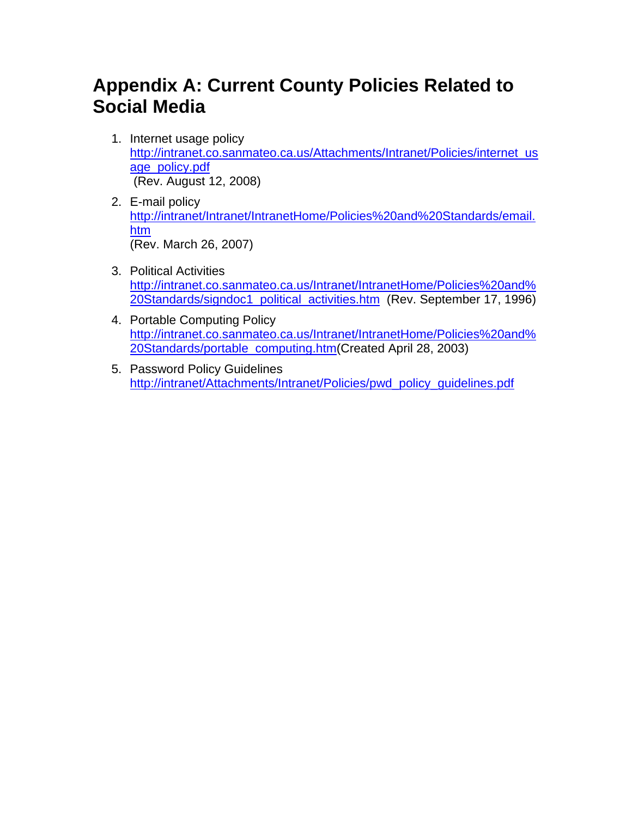### **Appendix A: Current County Policies Related to Social Media**

- 1. Internet usage policy [http://intranet.co.sanmateo.ca.us/Attachments/Intranet/Policies/internet\\_us](http://intranet.co.sanmateo.ca.us/Attachments/Intranet/Policies/internet_usage_policy.pdf) age\_policy.pdf (Rev. August 12, 2008)
- 2. E-mail policy [http://intranet/Intranet/IntranetHome/Policies%20and%20Standards/email.](http://intranet/Intranet/IntranetHome/Policies%20and%20Standards/email.htm) htm (Rev. March 26, 2007)
- 3. Political Activities http://intranet.co.sanmateo.ca.us/Intranet/IntranetHome/Policies%20and% [20Standards/signdoc1\\_political\\_activities.htm \(Rev. September 17, 1996\)](http://intranet.co.sanmateo.ca.us/Intranet/IntranetHome/Policies%20and%20Standards/signdoc1_political_activities.htm)
- 4. Portable Computing Policy [http://intranet.co.sanmateo.ca.us/Intranet/IntranetHome/Policies%20and%](http://intranet.co.sanmateo.ca.us/Intranet/IntranetHome/Policies%20and%20Standards/portable_computing.htm) 20Standards/portable\_computing.htm(Created April 28, 2003)
- 5. Password Policy Guidelines [http://intranet/Attachments/Intranet/Policies/pwd\\_policy\\_guidelines.pdf](http://intranet/Attachments/Intranet/Policies/pwd_policy_guidelines.pdf)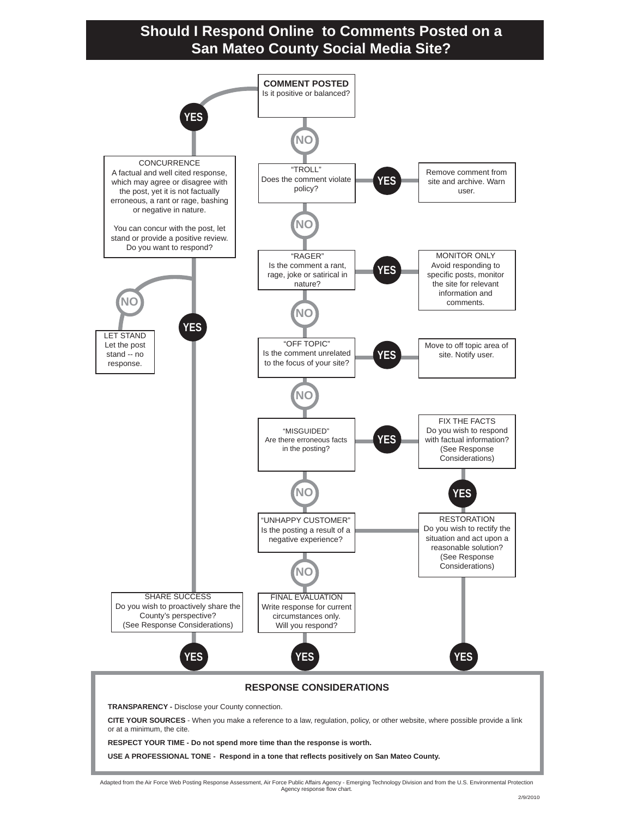### **Should I Respond Online to Comments Posted on a San Mateo County Social Media Site?**



Adapted from the Air Force Web Posting Response Assessment, Air Force Public Affairs Agency - Emerging Technology Division and from the U.S. Environmental Protection Agency response flow chart.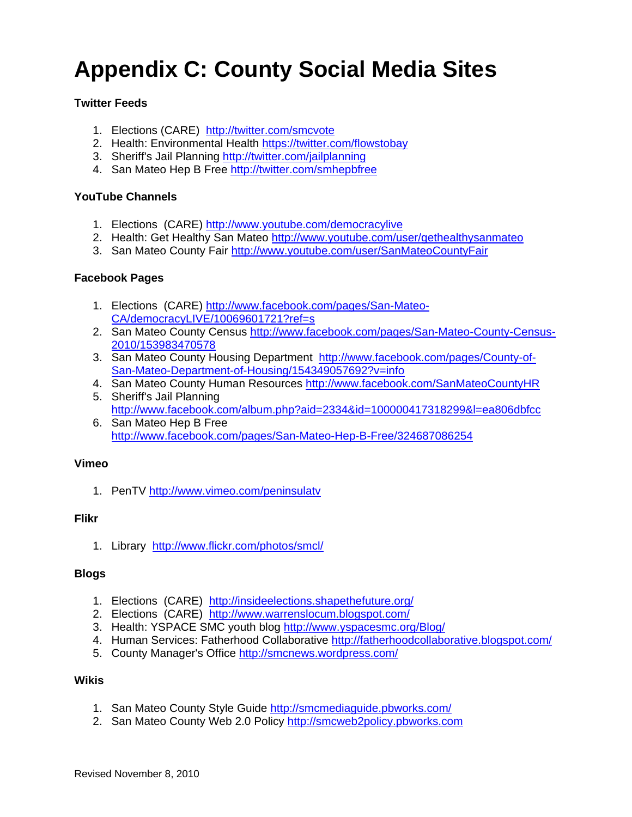# **Appendix C: County Social Media Sites**

### **Twitter Feeds**

- 1. Elections (CARE) <http://twitter.com/smcvote>
- 2. Health: Environmental Health<https://twitter.com/flowstobay>
- 3. Sheriff's Jail Planning <http://twitter.com/jailplanning>
- 4. San Mateo Hep B Free <http://twitter.com/smhepbfree>

### **YouTube Channels**

- 1. Elections (CARE) <http://www.youtube.com/democracylive>
- 2. Health: Get Healthy San Mateo<http://www.youtube.com/user/gethealthysanmateo>
- 3. San Mateo County Fair<http://www.youtube.com/user/SanMateoCountyFair>

### **Facebook Pages**

- 1. Elections (CARE) [http://www.facebook.com/pages/San-Mateo-](http://www.facebook.com/pages/San-Mateo-CA/democracyLIVE/10069601721?ref=s)[CA/democracyLIVE/10069601721?ref=s](http://www.facebook.com/pages/San-Mateo-CA/democracyLIVE/10069601721?ref=s)
- 2. San Mateo County Census [http://www.facebook.com/pages/San-Mateo-County-Census-](http://www.facebook.com/pages/San-Mateo-County-Census-2010/153983470578)[2010/153983470578](http://www.facebook.com/pages/San-Mateo-County-Census-2010/153983470578)
- 3. San Mateo County Housing Department [http://www.facebook.com/pages/County-of-](http://www.facebook.com/pages/County-of-San-Mateo-Department-of-Housing/154349057692?v=info)[San-Mateo-Department-of-Housing/154349057692?v=info](http://www.facebook.com/pages/County-of-San-Mateo-Department-of-Housing/154349057692?v=info)
- 4. San Mateo County Human Resources<http://www.facebook.com/SanMateoCountyHR>
- 5. Sheriff's Jail Planning <http://www.facebook.com/album.php?aid=2334&id=100000417318299&l=ea806dbfcc> 6. San Mateo Hep B Free
- <http://www.facebook.com/pages/San-Mateo-Hep-B-Free/324687086254>

#### **Vimeo**

1. PenTV <http://www.vimeo.com/peninsulatv>

#### **Flikr**

1. Library <http://www.flickr.com/photos/smcl/>

#### **Blogs**

- 1. Elections (CARE) <http://insideelections.shapethefuture.org/>
- 2. Elections (CARE) <http://www.warrenslocum.blogspot.com/>
- 3. Health: YSPACE SMC youth blog <http://www.yspacesmc.org/Blog/>
- 4. Human Services: Fatherhood Collaborative<http://fatherhoodcollaborative.blogspot.com/>
- 5. County Manager's Office <http://smcnews.wordpress.com/>

### **Wikis**

- 1. San Mateo County Style Guide<http://smcmediaguide.pbworks.com/>
- 2. San Mateo County Web 2.0 Policy <http://smcweb2policy.pbworks.com>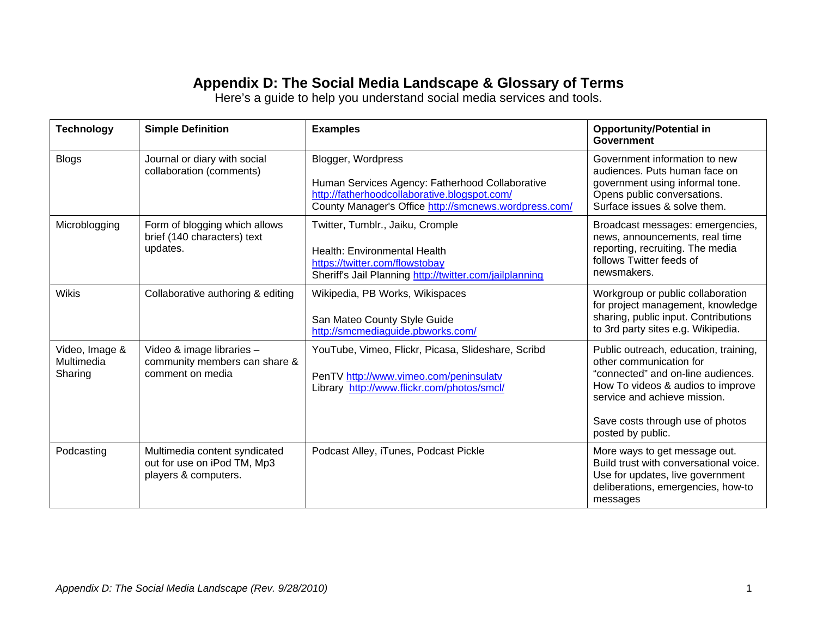### **Appendix D: The Social Media Landscape & Glossary of Terms**

Here's a guide to help you understand social media services and tools.

| <b>Technology</b>                       | <b>Simple Definition</b>                                                             | <b>Examples</b>                                                                                                                                                                | <b>Opportunity/Potential in</b><br>Government                                                                                                                                                                                        |
|-----------------------------------------|--------------------------------------------------------------------------------------|--------------------------------------------------------------------------------------------------------------------------------------------------------------------------------|--------------------------------------------------------------------------------------------------------------------------------------------------------------------------------------------------------------------------------------|
| <b>Blogs</b>                            | Journal or diary with social<br>collaboration (comments)                             | Blogger, Wordpress<br>Human Services Agency: Fatherhood Collaborative<br>http://fatherhoodcollaborative.blogspot.com/<br>County Manager's Office http://smcnews.wordpress.com/ | Government information to new<br>audiences. Puts human face on<br>government using informal tone.<br>Opens public conversations.<br>Surface issues & solve them.                                                                     |
| Microblogging                           | Form of blogging which allows<br>brief (140 characters) text<br>updates.             | Twitter, Tumblr., Jaiku, Cromple<br><b>Health: Environmental Health</b><br>https://twitter.com/flowstobay<br>Sheriff's Jail Planning http://twitter.com/jailplanning           | Broadcast messages: emergencies,<br>news, announcements, real time<br>reporting, recruiting. The media<br>follows Twitter feeds of<br>newsmakers.                                                                                    |
| <b>Wikis</b>                            | Collaborative authoring & editing                                                    | Wikipedia, PB Works, Wikispaces<br>San Mateo County Style Guide<br>http://smcmediaguide.pbworks.com/                                                                           | Workgroup or public collaboration<br>for project management, knowledge<br>sharing, public input. Contributions<br>to 3rd party sites e.g. Wikipedia.                                                                                 |
| Video, Image &<br>Multimedia<br>Sharing | Video & image libraries -<br>community members can share &<br>comment on media       | YouTube, Vimeo, Flickr, Picasa, Slideshare, Scribd<br>PenTV http://www.vimeo.com/peninsulatv<br>Library http://www.flickr.com/photos/smcl/                                     | Public outreach, education, training,<br>other communication for<br>"connected" and on-line audiences.<br>How To videos & audios to improve<br>service and achieve mission.<br>Save costs through use of photos<br>posted by public. |
| Podcasting                              | Multimedia content syndicated<br>out for use on iPod TM, Mp3<br>players & computers. | Podcast Alley, iTunes, Podcast Pickle                                                                                                                                          | More ways to get message out.<br>Build trust with conversational voice.<br>Use for updates, live government<br>deliberations, emergencies, how-to<br>messages                                                                        |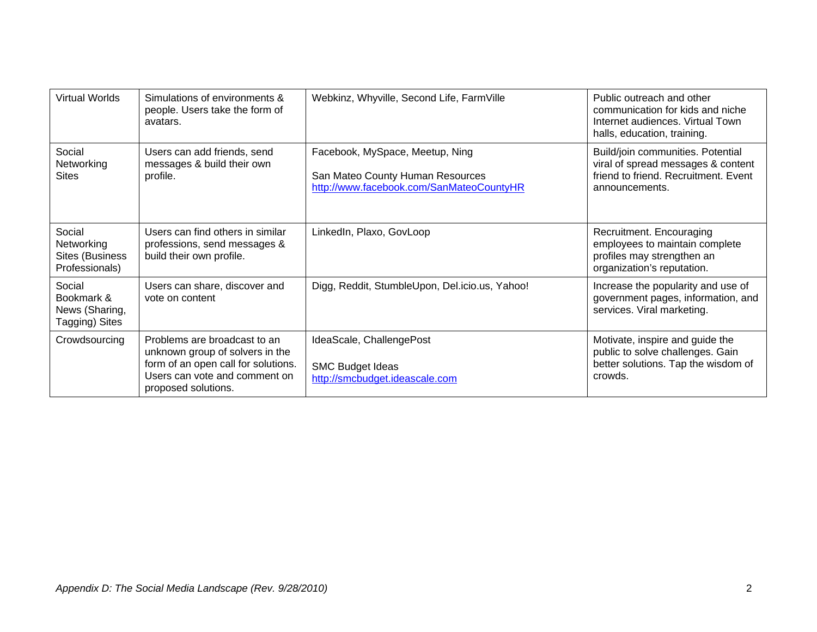| <b>Virtual Worlds</b>                                     | Simulations of environments &<br>people. Users take the form of<br>avatars.                                                                                    | Webkinz, Whyville, Second Life, FarmVille                                                                       | Public outreach and other<br>communication for kids and niche<br>Internet audiences. Virtual Town<br>halls, education, training.  |
|-----------------------------------------------------------|----------------------------------------------------------------------------------------------------------------------------------------------------------------|-----------------------------------------------------------------------------------------------------------------|-----------------------------------------------------------------------------------------------------------------------------------|
| Social<br>Networking<br><b>Sites</b>                      | Users can add friends, send<br>messages & build their own<br>profile.                                                                                          | Facebook, MySpace, Meetup, Ning<br>San Mateo County Human Resources<br>http://www.facebook.com/SanMateoCountyHR | Build/join communities. Potential<br>viral of spread messages & content<br>friend to friend. Recruitment. Event<br>announcements. |
| Social<br>Networking<br>Sites (Business<br>Professionals) | Users can find others in similar<br>professions, send messages &<br>build their own profile.                                                                   | LinkedIn, Plaxo, GovLoop                                                                                        | Recruitment. Encouraging<br>employees to maintain complete<br>profiles may strengthen an<br>organization's reputation.            |
| Social<br>Bookmark &<br>News (Sharing,<br>Tagging) Sites  | Users can share, discover and<br>vote on content                                                                                                               | Digg, Reddit, StumbleUpon, Del.icio.us, Yahoo!                                                                  | Increase the popularity and use of<br>government pages, information, and<br>services. Viral marketing.                            |
| Crowdsourcing                                             | Problems are broadcast to an<br>unknown group of solvers in the<br>form of an open call for solutions.<br>Users can vote and comment on<br>proposed solutions. | IdeaScale, ChallengePost<br><b>SMC Budget Ideas</b><br>http://smcbudget.ideascale.com                           | Motivate, inspire and guide the<br>public to solve challenges. Gain<br>better solutions. Tap the wisdom of<br>crowds.             |